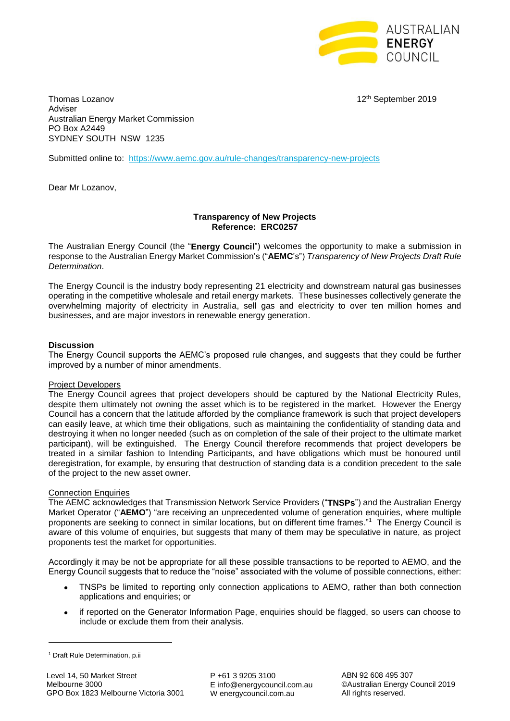

Thomas Lozanov **12th September 2019** Adviser Australian Energy Market Commission PO Box A2449 SYDNEY SOUTH NSW 1235

Submitted online to: <https://www.aemc.gov.au/rule-changes/transparency-new-projects>

Dear Mr Lozanov,

# **Transparency of New Projects Reference: ERC0257**

The Australian Energy Council (the "**Energy Council**") welcomes the opportunity to make a submission in response to the Australian Energy Market Commission's ("**AEMC**'s") *Transparency of New Projects Draft Rule Determination*.

The Energy Council is the industry body representing 21 electricity and downstream natural gas businesses operating in the competitive wholesale and retail energy markets. These businesses collectively generate the overwhelming majority of electricity in Australia, sell gas and electricity to over ten million homes and businesses, and are major investors in renewable energy generation.

# **Discussion**

The Energy Council supports the AEMC's proposed rule changes, and suggests that they could be further improved by a number of minor amendments.

### Project Developers

The Energy Council agrees that project developers should be captured by the National Electricity Rules, despite them ultimately not owning the asset which is to be registered in the market. However the Energy Council has a concern that the latitude afforded by the compliance framework is such that project developers can easily leave, at which time their obligations, such as maintaining the confidentiality of standing data and destroying it when no longer needed (such as on completion of the sale of their project to the ultimate market participant), will be extinguished. The Energy Council therefore recommends that project developers be treated in a similar fashion to Intending Participants, and have obligations which must be honoured until deregistration, for example, by ensuring that destruction of standing data is a condition precedent to the sale of the project to the new asset owner.

### **Connection Enquiries**

The AEMC acknowledges that Transmission Network Service Providers ("**TNSPs**") and the Australian Energy Market Operator ("**AEMO**") "are receiving an unprecedented volume of generation enquiries, where multiple proponents are seeking to connect in similar locations, but on different time frames."<sup>1</sup> The Energy Council is aware of this volume of enquiries, but suggests that many of them may be speculative in nature, as project proponents test the market for opportunities.

Accordingly it may be not be appropriate for all these possible transactions to be reported to AEMO, and the Energy Council suggests that to reduce the "noise" associated with the volume of possible connections, either:

- TNSPs be limited to reporting only connection applications to AEMO, rather than both connection applications and enquiries; or
- if reported on the Generator Information Page, enquiries should be flagged, so users can choose to include or exclude them from their analysis.

**.** 

<sup>&</sup>lt;sup>1</sup> Draft Rule Determination, p.ii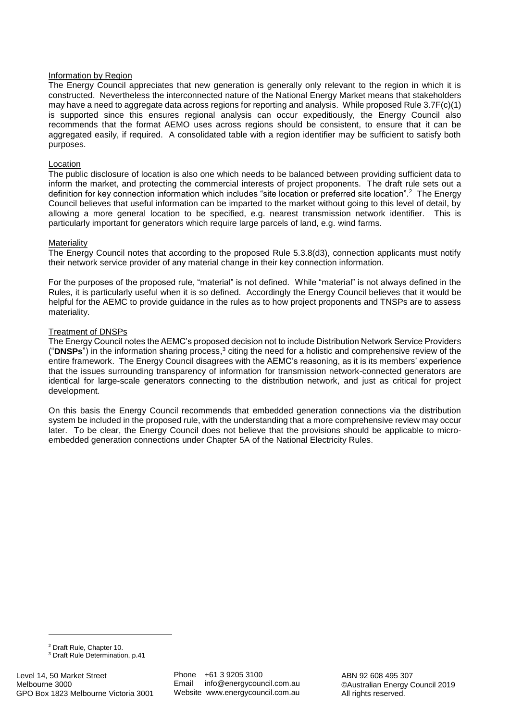# Information by Region

The Energy Council appreciates that new generation is generally only relevant to the region in which it is constructed. Nevertheless the interconnected nature of the National Energy Market means that stakeholders may have a need to aggregate data across regions for reporting and analysis. While proposed Rule 3.7F(c)(1) is supported since this ensures regional analysis can occur expeditiously, the Energy Council also recommends that the format AEMO uses across regions should be consistent, to ensure that it can be aggregated easily, if required. A consolidated table with a region identifier may be sufficient to satisfy both purposes.

# Location

The public disclosure of location is also one which needs to be balanced between providing sufficient data to inform the market, and protecting the commercial interests of project proponents. The draft rule sets out a definition for key connection information which includes "site location or preferred site location".<sup>2</sup> The Energy Council believes that useful information can be imparted to the market without going to this level of detail, by allowing a more general location to be specified, e.g. nearest transmission network identifier. This is particularly important for generators which require large parcels of land, e.g. wind farms.

### **Materiality**

The Energy Council notes that according to the proposed Rule 5.3.8(d3), connection applicants must notify their network service provider of any material change in their key connection information.

For the purposes of the proposed rule, "material" is not defined. While "material" is not always defined in the Rules, it is particularly useful when it is so defined. Accordingly the Energy Council believes that it would be helpful for the AEMC to provide guidance in the rules as to how project proponents and TNSPs are to assess materiality.

# Treatment of DNSPs

The Energy Council notes the AEMC's proposed decision not to include Distribution Network Service Providers ("DNSPs") in the information sharing process,<sup>3</sup> citing the need for a holistic and comprehensive review of the entire framework. The Energy Council disagrees with the AEMC's reasoning, as it is its members' experience that the issues surrounding transparency of information for transmission network-connected generators are identical for large-scale generators connecting to the distribution network, and just as critical for project development.

On this basis the Energy Council recommends that embedded generation connections via the distribution system be included in the proposed rule, with the understanding that a more comprehensive review may occur later. To be clear, the Energy Council does not believe that the provisions should be applicable to microembedded generation connections under Chapter 5A of the National Electricity Rules.

1

Phone +61 3 9205 3100 Email info@energycouncil.com.au Website www.energycouncil.com.au

ABN 92 608 495 307 ©Australian Energy Council 2019 All rights reserved.

<sup>2</sup> Draft Rule, Chapter 10.

<sup>3</sup> Draft Rule Determination, p.41